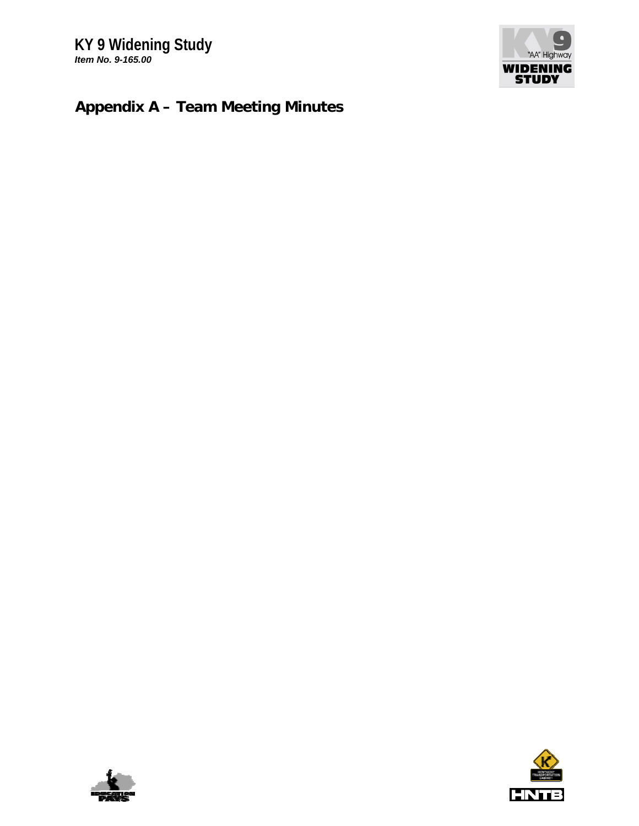

## **Appendix A – Team Meeting Minutes**



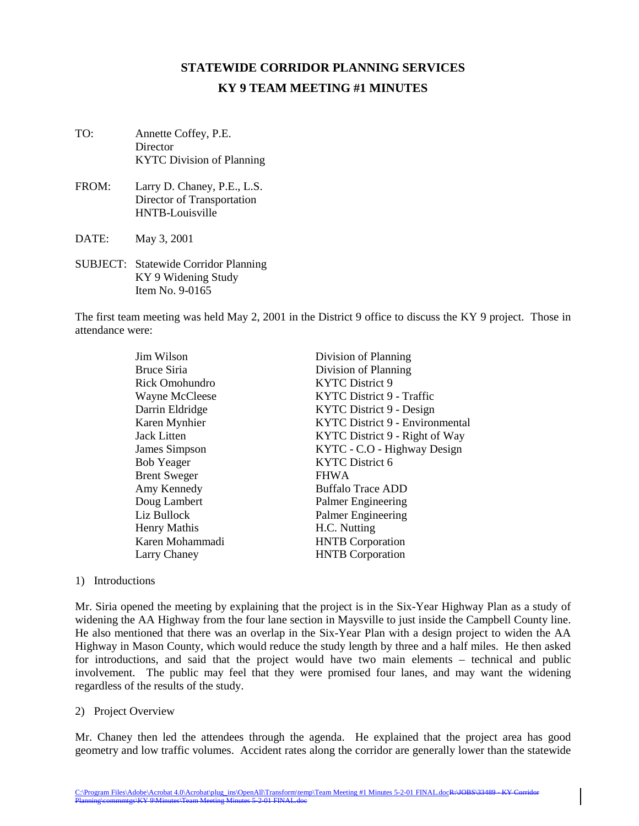## **STATEWIDE CORRIDOR PLANNING SERVICES KY 9 TEAM MEETING #1 MINUTES**

- TO: Annette Coffey, P.E. **Director** KYTC Division of Planning
- FROM: Larry D. Chaney, P.E., L.S. Director of Transportation HNTB-Louisville
- DATE: May 3, 2001
- SUBJECT: Statewide Corridor Planning KY 9 Widening Study Item No. 9-0165

The first team meeting was held May 2, 2001 in the District 9 office to discuss the KY 9 project. Those in attendance were:

| Jim Wilson          | Division of Planning            |
|---------------------|---------------------------------|
| Bruce Siria         | Division of Planning            |
| Rick Omohundro      | <b>KYTC District 9</b>          |
| Wayne McCleese      | KYTC District 9 - Traffic       |
| Darrin Eldridge     | KYTC District 9 - Design        |
| Karen Mynhier       | KYTC District 9 - Environmental |
| Jack Litten         | KYTC District 9 - Right of Way  |
| James Simpson       | KYTC - C.O - Highway Design     |
| <b>Bob Yeager</b>   | <b>KYTC</b> District 6          |
| <b>Brent Sweger</b> | <b>FHWA</b>                     |
| Amy Kennedy         | <b>Buffalo Trace ADD</b>        |
| Doug Lambert        | Palmer Engineering              |
| Liz Bullock         | Palmer Engineering              |
| Henry Mathis        | H.C. Nutting                    |
| Karen Mohammadi     | <b>HNTB</b> Corporation         |
| Larry Chaney        | <b>HNTB</b> Corporation         |

#### 1) Introductions

Mr. Siria opened the meeting by explaining that the project is in the Six-Year Highway Plan as a study of widening the AA Highway from the four lane section in Maysville to just inside the Campbell County line. He also mentioned that there was an overlap in the Six-Year Plan with a design project to widen the AA Highway in Mason County, which would reduce the study length by three and a half miles. He then asked for introductions, and said that the project would have two main elements – technical and public involvement. The public may feel that they were promised four lanes, and may want the widening regardless of the results of the study.

2) Project Overview

Mr. Chaney then led the attendees through the agenda. He explained that the project area has good geometry and low traffic volumes. Accident rates along the corridor are generally lower than the statewide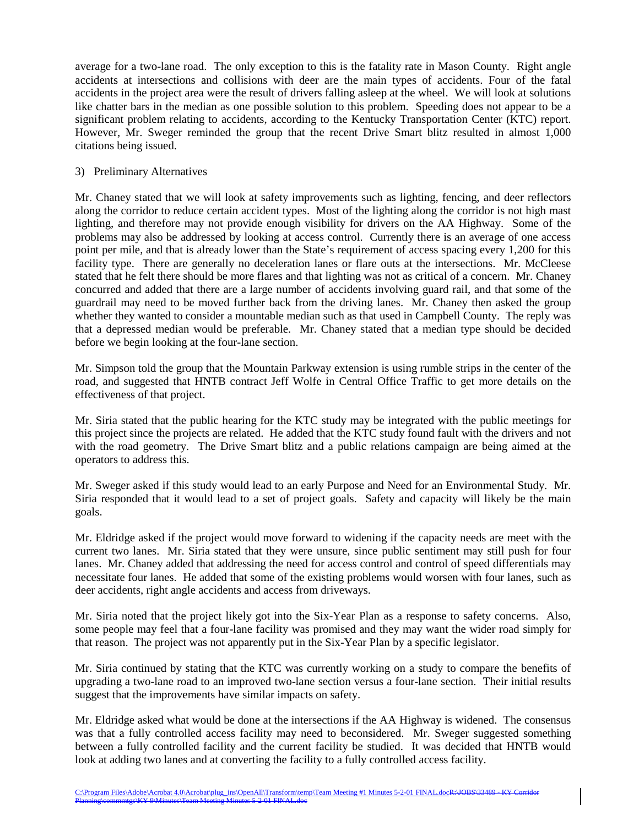average for a two-lane road. The only exception to this is the fatality rate in Mason County. Right angle accidents at intersections and collisions with deer are the main types of accidents. Four of the fatal accidents in the project area were the result of drivers falling asleep at the wheel. We will look at solutions like chatter bars in the median as one possible solution to this problem. Speeding does not appear to be a significant problem relating to accidents, according to the Kentucky Transportation Center (KTC) report. However, Mr. Sweger reminded the group that the recent Drive Smart blitz resulted in almost 1,000 citations being issued.

#### 3) Preliminary Alternatives

Mr. Chaney stated that we will look at safety improvements such as lighting, fencing, and deer reflectors along the corridor to reduce certain accident types. Most of the lighting along the corridor is not high mast lighting, and therefore may not provide enough visibility for drivers on the AA Highway. Some of the problems may also be addressed by looking at access control. Currently there is an average of one access point per mile, and that is already lower than the State's requirement of access spacing every 1,200 for this facility type. There are generally no deceleration lanes or flare outs at the intersections. Mr. McCleese stated that he felt there should be more flares and that lighting was not as critical of a concern. Mr. Chaney concurred and added that there are a large number of accidents involving guard rail, and that some of the guardrail may need to be moved further back from the driving lanes. Mr. Chaney then asked the group whether they wanted to consider a mountable median such as that used in Campbell County. The reply was that a depressed median would be preferable. Mr. Chaney stated that a median type should be decided before we begin looking at the four-lane section.

Mr. Simpson told the group that the Mountain Parkway extension is using rumble strips in the center of the road, and suggested that HNTB contract Jeff Wolfe in Central Office Traffic to get more details on the effectiveness of that project.

Mr. Siria stated that the public hearing for the KTC study may be integrated with the public meetings for this project since the projects are related. He added that the KTC study found fault with the drivers and not with the road geometry. The Drive Smart blitz and a public relations campaign are being aimed at the operators to address this.

Mr. Sweger asked if this study would lead to an early Purpose and Need for an Environmental Study. Mr. Siria responded that it would lead to a set of project goals. Safety and capacity will likely be the main goals.

Mr. Eldridge asked if the project would move forward to widening if the capacity needs are meet with the current two lanes. Mr. Siria stated that they were unsure, since public sentiment may still push for four lanes. Mr. Chaney added that addressing the need for access control and control of speed differentials may necessitate four lanes. He added that some of the existing problems would worsen with four lanes, such as deer accidents, right angle accidents and access from driveways.

Mr. Siria noted that the project likely got into the Six-Year Plan as a response to safety concerns. Also, some people may feel that a four-lane facility was promised and they may want the wider road simply for that reason. The project was not apparently put in the Six-Year Plan by a specific legislator.

Mr. Siria continued by stating that the KTC was currently working on a study to compare the benefits of upgrading a two-lane road to an improved two-lane section versus a four-lane section. Their initial results suggest that the improvements have similar impacts on safety.

Mr. Eldridge asked what would be done at the intersections if the AA Highway is widened. The consensus was that a fully controlled access facility may need to beconsidered. Mr. Sweger suggested something between a fully controlled facility and the current facility be studied. It was decided that HNTB would look at adding two lanes and at converting the facility to a fully controlled access facility.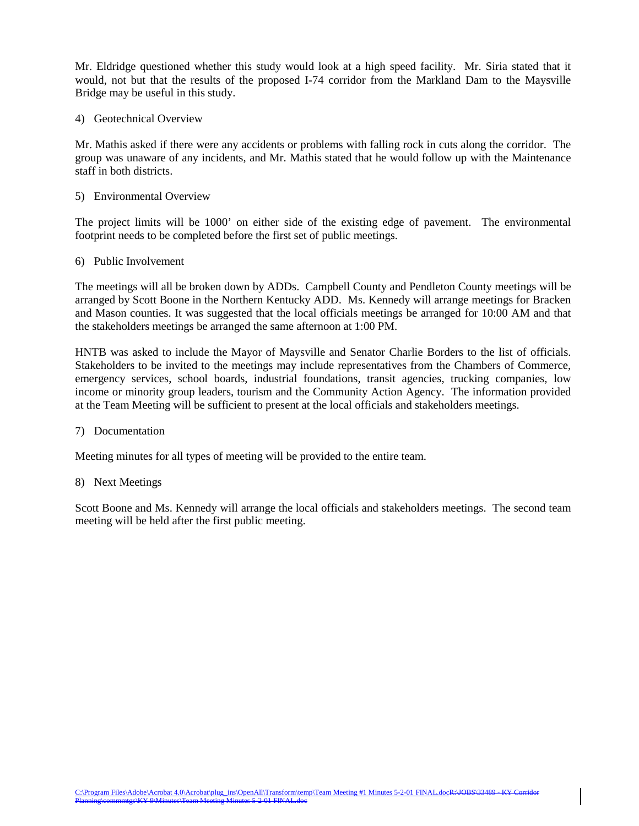Mr. Eldridge questioned whether this study would look at a high speed facility. Mr. Siria stated that it would, not but that the results of the proposed I-74 corridor from the Markland Dam to the Maysville Bridge may be useful in this study.

#### 4) Geotechnical Overview

Mr. Mathis asked if there were any accidents or problems with falling rock in cuts along the corridor. The group was unaware of any incidents, and Mr. Mathis stated that he would follow up with the Maintenance staff in both districts.

#### 5) Environmental Overview

The project limits will be 1000' on either side of the existing edge of pavement. The environmental footprint needs to be completed before the first set of public meetings.

#### 6) Public Involvement

The meetings will all be broken down by ADDs. Campbell County and Pendleton County meetings will be arranged by Scott Boone in the Northern Kentucky ADD. Ms. Kennedy will arrange meetings for Bracken and Mason counties. It was suggested that the local officials meetings be arranged for 10:00 AM and that the stakeholders meetings be arranged the same afternoon at 1:00 PM.

HNTB was asked to include the Mayor of Maysville and Senator Charlie Borders to the list of officials. Stakeholders to be invited to the meetings may include representatives from the Chambers of Commerce, emergency services, school boards, industrial foundations, transit agencies, trucking companies, low income or minority group leaders, tourism and the Community Action Agency. The information provided at the Team Meeting will be sufficient to present at the local officials and stakeholders meetings.

7) Documentation

Meeting minutes for all types of meeting will be provided to the entire team.

#### 8) Next Meetings

Scott Boone and Ms. Kennedy will arrange the local officials and stakeholders meetings. The second team meeting will be held after the first public meeting.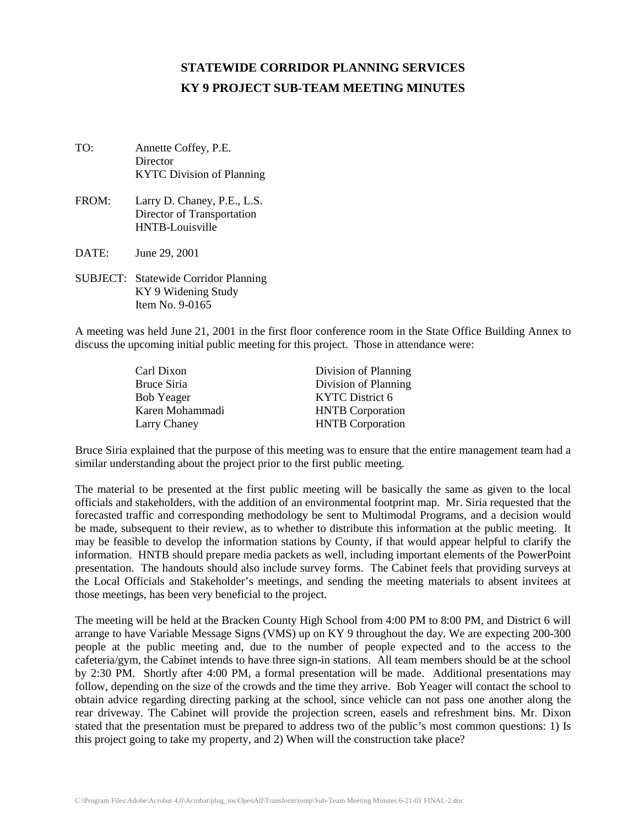## **STATEWIDE CORRIDOR PLANNING SERVICES KY 9 PROJECT SUB-TEAM MEETING MINUTES**

- TO: Annette Coffey, P.E. **Director** KYTC Division of Planning
- FROM: Larry D. Chaney, P.E., L.S. Director of Transportation HNTB-Louisville
- DATE: June 29, 2001
- SUBJECT: Statewide Corridor Planning KY 9 Widening Study Item No. 9-0165

A meeting was held June 21, 2001 in the first floor conference room in the State Office Building Annex to discuss the upcoming initial public meeting for this project. Those in attendance were:

| Carl Dixon      | Division of Planning    |
|-----------------|-------------------------|
| Bruce Siria     | Division of Planning    |
| Bob Yeager      | KYTC District 6         |
| Karen Mohammadi | <b>HNTB</b> Corporation |
| Larry Chaney    | <b>HNTB</b> Corporation |

Bruce Siria explained that the purpose of this meeting was to ensure that the entire management team had a similar understanding about the project prior to the first public meeting.

The material to be presented at the first public meeting will be basically the same as given to the local officials and stakeholders, with the addition of an environmental footprint map. Mr. Siria requested that the forecasted traffic and corresponding methodology be sent to Multimodal Programs, and a decision would be made, subsequent to their review, as to whether to distribute this information at the public meeting. It may be feasible to develop the information stations by County, if that would appear helpful to clarify the information. HNTB should prepare media packets as well, including important elements of the PowerPoint presentation. The handouts should also include survey forms. The Cabinet feels that providing surveys at the Local Officials and Stakeholder's meetings, and sending the meeting materials to absent invitees at those meetings, has been very beneficial to the project.

The meeting will be held at the Bracken County High School from 4:00 PM to 8:00 PM, and District 6 will arrange to have Variable Message Signs (VMS) up on KY 9 throughout the day. We are expecting 200-300 people at the public meeting and, due to the number of people expected and to the access to the cafeteria/gym, the Cabinet intends to have three sign-in stations. All team members should be at the school by 2:30 PM. Shortly after 4:00 PM, a formal presentation will be made. Additional presentations may follow, depending on the size of the crowds and the time they arrive. Bob Yeager will contact the school to obtain advice regarding directing parking at the school, since vehicle can not pass one another along the rear driveway. The Cabinet will provide the projection screen, easels and refreshment bins. Mr. Dixon stated that the presentation must be prepared to address two of the public's most common questions: 1) Is this project going to take my property, and 2) When will the construction take place?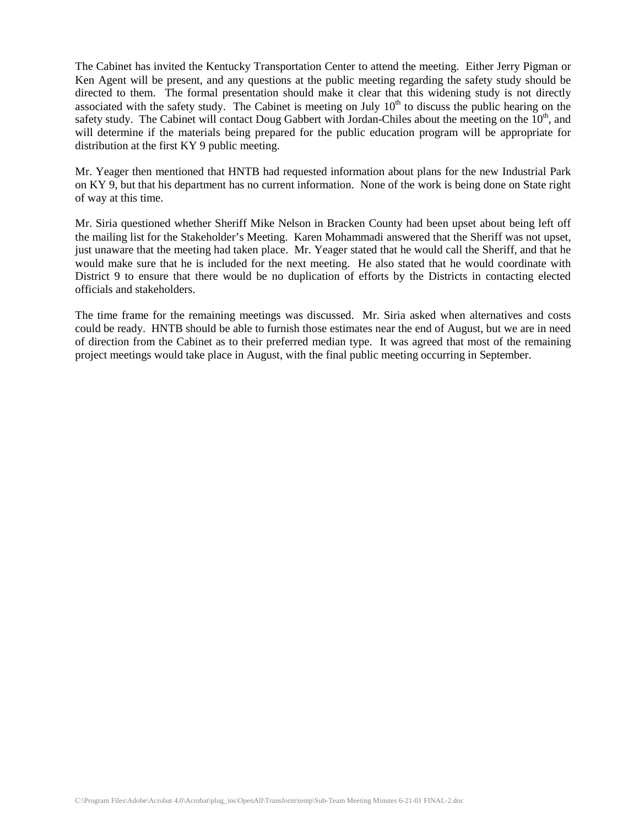The Cabinet has invited the Kentucky Transportation Center to attend the meeting. Either Jerry Pigman or Ken Agent will be present, and any questions at the public meeting regarding the safety study should be directed to them. The formal presentation should make it clear that this widening study is not directly associated with the safety study. The Cabinet is meeting on July  $10<sup>th</sup>$  to discuss the public hearing on the safety study. The Cabinet will contact Doug Gabbert with Jordan-Chiles about the meeting on the  $10<sup>th</sup>$ , and will determine if the materials being prepared for the public education program will be appropriate for distribution at the first KY 9 public meeting.

Mr. Yeager then mentioned that HNTB had requested information about plans for the new Industrial Park on KY 9, but that his department has no current information. None of the work is being done on State right of way at this time.

Mr. Siria questioned whether Sheriff Mike Nelson in Bracken County had been upset about being left off the mailing list for the Stakeholder's Meeting. Karen Mohammadi answered that the Sheriff was not upset, just unaware that the meeting had taken place. Mr. Yeager stated that he would call the Sheriff, and that he would make sure that he is included for the next meeting. He also stated that he would coordinate with District 9 to ensure that there would be no duplication of efforts by the Districts in contacting elected officials and stakeholders.

The time frame for the remaining meetings was discussed. Mr. Siria asked when alternatives and costs could be ready. HNTB should be able to furnish those estimates near the end of August, but we are in need of direction from the Cabinet as to their preferred median type. It was agreed that most of the remaining project meetings would take place in August, with the final public meeting occurring in September.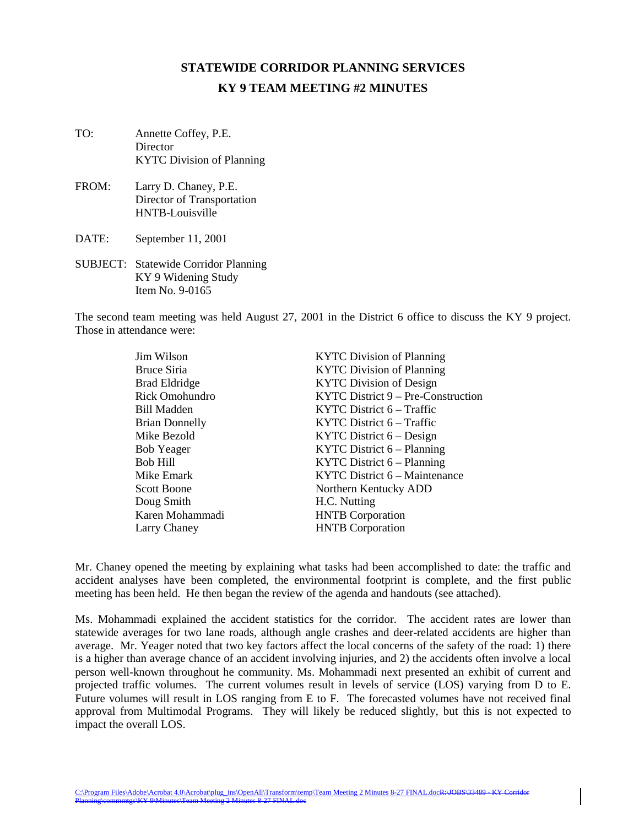## **STATEWIDE CORRIDOR PLANNING SERVICES KY 9 TEAM MEETING #2 MINUTES**

- TO: Annette Coffey, P.E. **Director** KYTC Division of Planning
- FROM: Larry D. Chaney, P.E. Director of Transportation HNTB-Louisville
- DATE: September 11, 2001
- SUBJECT: Statewide Corridor Planning KY 9 Widening Study Item No. 9-0165

The second team meeting was held August 27, 2001 in the District 6 office to discuss the KY 9 project. Those in attendance were:

| Jim Wilson            | <b>KYTC Division of Planning</b>   |
|-----------------------|------------------------------------|
| Bruce Siria           | <b>KYTC Division of Planning</b>   |
| <b>Brad Eldridge</b>  | <b>KYTC</b> Division of Design     |
| <b>Rick Omohundro</b> | KYTC District 9 – Pre-Construction |
| Bill Madden           | $KYTC$ District $6 - Traffic$      |
| <b>Brian Donnelly</b> | $KYTC$ District $6 - Traffic$      |
| Mike Bezold           | KYTC District $6 - Design$         |
| <b>Bob Yeager</b>     | KYTC District $6$ – Planning       |
| <b>Bob Hill</b>       | KYTC District $6$ – Planning       |
| Mike Emark            | KYTC District 6 – Maintenance      |
| Scott Boone           | Northern Kentucky ADD              |
| Doug Smith            | H.C. Nutting                       |
| Karen Mohammadi       | <b>HNTB</b> Corporation            |
| Larry Chaney          | <b>HNTB</b> Corporation            |

Mr. Chaney opened the meeting by explaining what tasks had been accomplished to date: the traffic and accident analyses have been completed, the environmental footprint is complete, and the first public meeting has been held. He then began the review of the agenda and handouts (see attached).

Ms. Mohammadi explained the accident statistics for the corridor. The accident rates are lower than statewide averages for two lane roads, although angle crashes and deer-related accidents are higher than average. Mr. Yeager noted that two key factors affect the local concerns of the safety of the road: 1) there is a higher than average chance of an accident involving injuries, and 2) the accidents often involve a local person well-known throughout he community. Ms. Mohammadi next presented an exhibit of current and projected traffic volumes. The current volumes result in levels of service (LOS) varying from D to E. Future volumes will result in LOS ranging from E to F. The forecasted volumes have not received final approval from Multimodal Programs. They will likely be reduced slightly, but this is not expected to impact the overall LOS.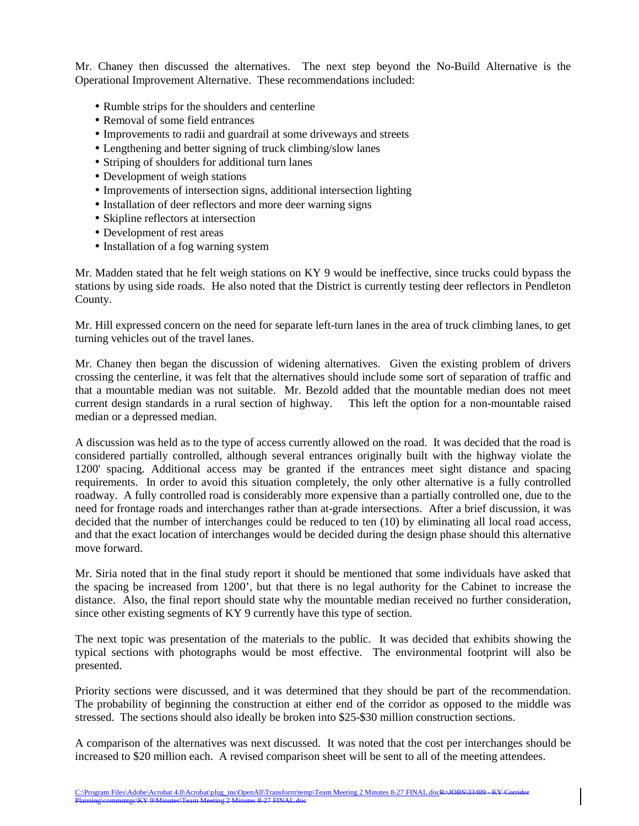Mr. Chaney then discussed the alternatives. The next step beyond the No-Build Alternative is the Operational Improvement Alternative. These recommendations included:

- Rumble strips for the shoulders and centerline
- Removal of some field entrances
- Improvements to radii and guardrail at some driveways and streets
- Lengthening and better signing of truck climbing/slow lanes
- Striping of shoulders for additional turn lanes
- Development of weigh stations
- Improvements of intersection signs, additional intersection lighting
- Installation of deer reflectors and more deer warning signs
- Skipline reflectors at intersection
- Development of rest areas
- Installation of a fog warning system

Mr. Madden stated that he felt weigh stations on KY 9 would be ineffective, since trucks could bypass the stations by using side roads. He also noted that the District is currently testing deer reflectors in Pendleton County.

Mr. Hill expressed concern on the need for separate left-turn lanes in the area of truck climbing lanes, to get turning vehicles out of the travel lanes.

Mr. Chaney then began the discussion of widening alternatives. Given the existing problem of drivers crossing the centerline, it was felt that the alternatives should include some sort of separation of traffic and that a mountable median was not suitable. Mr. Bezold added that the mountable median does not meet current design standards in a rural section of highway. This left the option for a non-mountable raised median or a depressed median.

A discussion was held as to the type of access currently allowed on the road. It was decided that the road is considered partially controlled, although several entrances originally built with the highway violate the 1200' spacing. Additional access may be granted if the entrances meet sight distance and spacing requirements. In order to avoid this situation completely, the only other alternative is a fully controlled roadway. A fully controlled road is considerably more expensive than a partially controlled one, due to the need for frontage roads and interchanges rather than at-grade intersections. After a brief discussion, it was decided that the number of interchanges could be reduced to ten (10) by eliminating all local road access, and that the exact location of interchanges would be decided during the design phase should this alternative move forward.

Mr. Siria noted that in the final study report it should be mentioned that some individuals have asked that the spacing be increased from 1200', but that there is no legal authority for the Cabinet to increase the distance. Also, the final report should state why the mountable median received no further consideration, since other existing segments of KY 9 currently have this type of section.

The next topic was presentation of the materials to the public. It was decided that exhibits showing the typical sections with photographs would be most effective. The environmental footprint will also be presented.

Priority sections were discussed, and it was determined that they should be part of the recommendation. The probability of beginning the construction at either end of the corridor as opposed to the middle was stressed. The sections should also ideally be broken into \$25-\$30 million construction sections.

A comparison of the alternatives was next discussed. It was noted that the cost per interchanges should be increased to \$20 million each. A revised comparison sheet will be sent to all of the meeting attendees.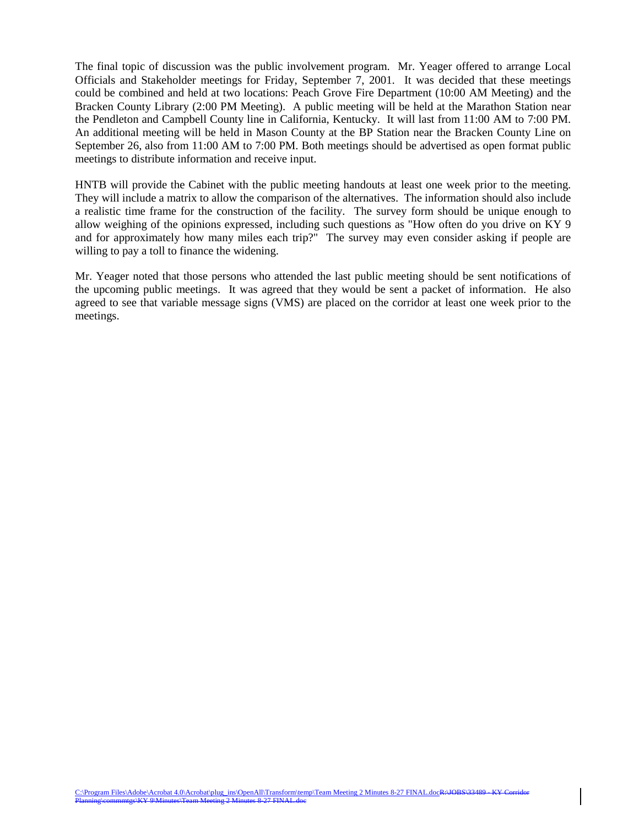The final topic of discussion was the public involvement program. Mr. Yeager offered to arrange Local Officials and Stakeholder meetings for Friday, September 7, 2001. It was decided that these meetings could be combined and held at two locations: Peach Grove Fire Department (10:00 AM Meeting) and the Bracken County Library (2:00 PM Meeting). A public meeting will be held at the Marathon Station near the Pendleton and Campbell County line in California, Kentucky. It will last from 11:00 AM to 7:00 PM. An additional meeting will be held in Mason County at the BP Station near the Bracken County Line on September 26, also from 11:00 AM to 7:00 PM. Both meetings should be advertised as open format public meetings to distribute information and receive input.

HNTB will provide the Cabinet with the public meeting handouts at least one week prior to the meeting. They will include a matrix to allow the comparison of the alternatives. The information should also include a realistic time frame for the construction of the facility. The survey form should be unique enough to allow weighing of the opinions expressed, including such questions as "How often do you drive on KY 9 and for approximately how many miles each trip?" The survey may even consider asking if people are willing to pay a toll to finance the widening.

Mr. Yeager noted that those persons who attended the last public meeting should be sent notifications of the upcoming public meetings. It was agreed that they would be sent a packet of information. He also agreed to see that variable message signs (VMS) are placed on the corridor at least one week prior to the meetings.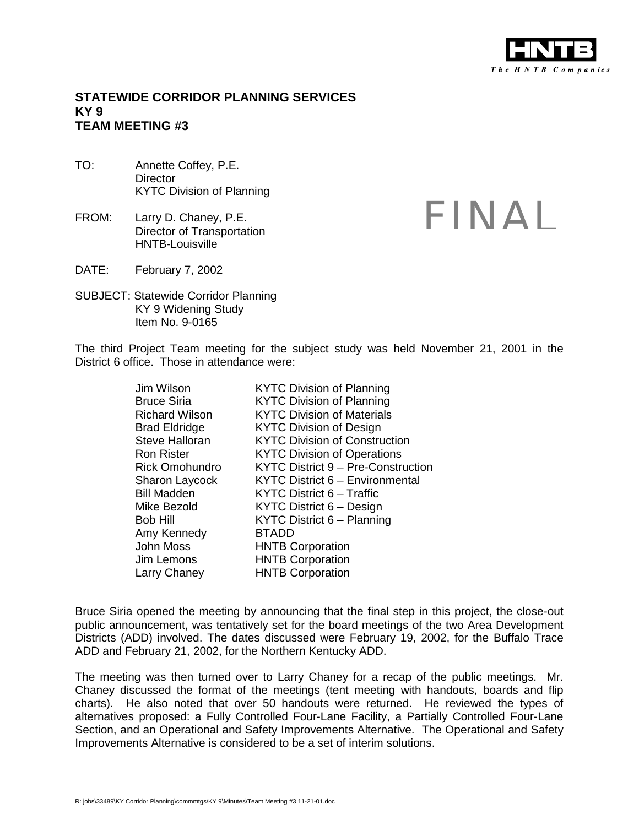

#### **STATEWIDE CORRIDOR PLANNING SERVICES KY 9 TEAM MEETING #3**

- TO: Annette Coffey, P.E. **Director** KYTC Division of Planning
- FROM: Larry D. Chaney, P.E. Director of Transportation HNTB-Louisville

# FINAL

- DATE: February 7, 2002
- SUBJECT: Statewide Corridor Planning KY 9 Widening Study Item No. 9-0165

The third Project Team meeting for the subject study was held November 21, 2001 in the District 6 office. Those in attendance were:

> Amy Kennedy BTADD Larry Chaney HNTB Corporation

Jim Wilson KYTC Division of Planning Bruce Siria KYTC Division of Planning Richard Wilson KYTC Division of Materials Brad Eldridge **KYTC** Division of Design Steve Halloran KYTC Division of Construction Ron Rister KYTC Division of Operations Rick Omohundro KYTC District 9 – Pre-Construction Sharon Laycock KYTC District 6 – Environmental Bill Madden KYTC District 6 – Traffic Mike Bezold KYTC District 6 – Design Bob Hill KYTC District 6 – Planning John Moss HNTB Corporation Jim Lemons HNTB Corporation

Bruce Siria opened the meeting by announcing that the final step in this project, the close-out public announcement, was tentatively set for the board meetings of the two Area Development Districts (ADD) involved. The dates discussed were February 19, 2002, for the Buffalo Trace ADD and February 21, 2002, for the Northern Kentucky ADD.

The meeting was then turned over to Larry Chaney for a recap of the public meetings. Mr. Chaney discussed the format of the meetings (tent meeting with handouts, boards and flip charts). He also noted that over 50 handouts were returned. He reviewed the types of alternatives proposed: a Fully Controlled Four-Lane Facility, a Partially Controlled Four-Lane Section, and an Operational and Safety Improvements Alternative. The Operational and Safety Improvements Alternative is considered to be a set of interim solutions.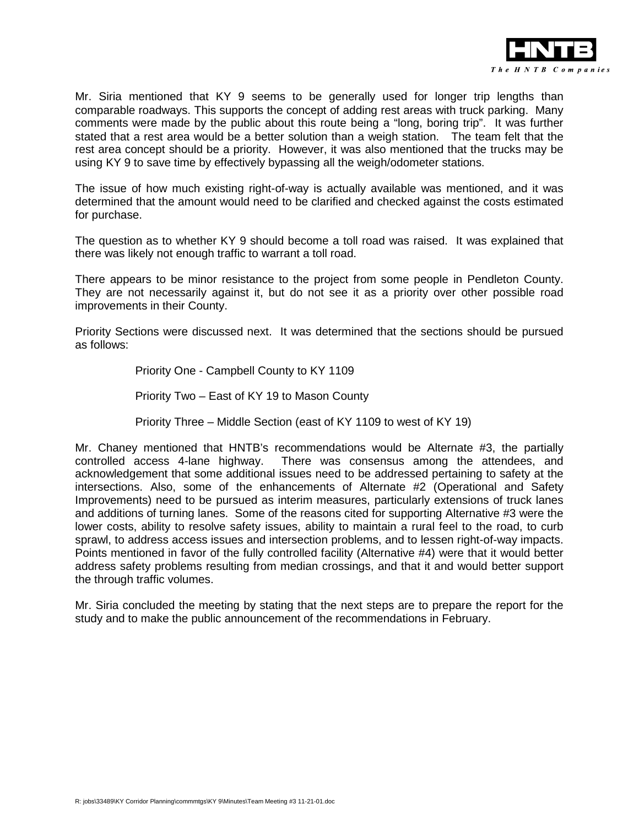

Mr. Siria mentioned that KY 9 seems to be generally used for longer trip lengths than comparable roadways. This supports the concept of adding rest areas with truck parking. Many comments were made by the public about this route being a "long, boring trip". It was further stated that a rest area would be a better solution than a weigh station. The team felt that the rest area concept should be a priority. However, it was also mentioned that the trucks may be using KY 9 to save time by effectively bypassing all the weigh/odometer stations.

The issue of how much existing right-of-way is actually available was mentioned, and it was determined that the amount would need to be clarified and checked against the costs estimated for purchase.

The question as to whether KY 9 should become a toll road was raised. It was explained that there was likely not enough traffic to warrant a toll road.

There appears to be minor resistance to the project from some people in Pendleton County. They are not necessarily against it, but do not see it as a priority over other possible road improvements in their County.

Priority Sections were discussed next. It was determined that the sections should be pursued as follows:

Priority One - Campbell County to KY 1109

Priority Two – East of KY 19 to Mason County

Priority Three – Middle Section (east of KY 1109 to west of KY 19)

Mr. Chaney mentioned that HNTB's recommendations would be Alternate #3, the partially controlled access 4-lane highway. There was consensus among the attendees, and acknowledgement that some additional issues need to be addressed pertaining to safety at the intersections. Also, some of the enhancements of Alternate #2 (Operational and Safety Improvements) need to be pursued as interim measures, particularly extensions of truck lanes and additions of turning lanes. Some of the reasons cited for supporting Alternative #3 were the lower costs, ability to resolve safety issues, ability to maintain a rural feel to the road, to curb sprawl, to address access issues and intersection problems, and to lessen right-of-way impacts. Points mentioned in favor of the fully controlled facility (Alternative #4) were that it would better address safety problems resulting from median crossings, and that it and would better support the through traffic volumes.

Mr. Siria concluded the meeting by stating that the next steps are to prepare the report for the study and to make the public announcement of the recommendations in February.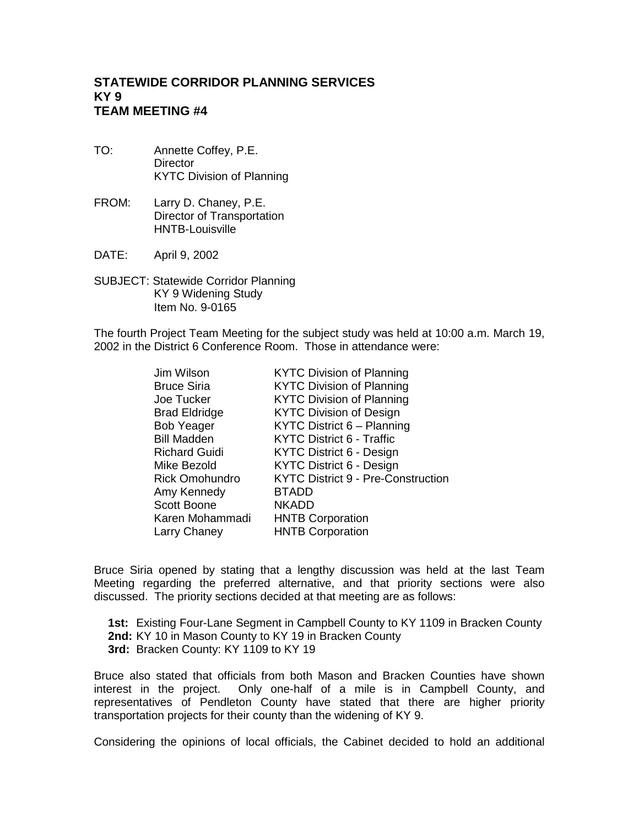#### **STATEWIDE CORRIDOR PLANNING SERVICES KY 9 TEAM MEETING #4**

- TO: Annette Coffey, P.E. **Director** KYTC Division of Planning
- FROM: Larry D. Chaney, P.E. Director of Transportation HNTB-Louisville
- DATE: April 9, 2002
- SUBJECT: Statewide Corridor Planning KY 9 Widening Study Item No. 9-0165

The fourth Project Team Meeting for the subject study was held at 10:00 a.m. March 19, 2002 in the District 6 Conference Room. Those in attendance were:

| Jim Wilson            | <b>KYTC Division of Planning</b>   |
|-----------------------|------------------------------------|
| <b>Bruce Siria</b>    | <b>KYTC Division of Planning</b>   |
| Joe Tucker            | <b>KYTC Division of Planning</b>   |
| <b>Brad Eldridge</b>  | <b>KYTC Division of Design</b>     |
| <b>Bob Yeager</b>     | KYTC District 6 - Planning         |
| <b>Bill Madden</b>    | <b>KYTC District 6 - Traffic</b>   |
| <b>Richard Guidi</b>  | KYTC District 6 - Design           |
| Mike Bezold           | KYTC District 6 - Design           |
| <b>Rick Omohundro</b> | KYTC District 9 - Pre-Construction |
| Amy Kennedy           | <b>BTADD</b>                       |
| <b>Scott Boone</b>    | <b>NKADD</b>                       |
| Karen Mohammadi       | <b>HNTB Corporation</b>            |
| Larry Chaney          | <b>HNTB Corporation</b>            |
|                       |                                    |

Bruce Siria opened by stating that a lengthy discussion was held at the last Team Meeting regarding the preferred alternative, and that priority sections were also discussed. The priority sections decided at that meeting are as follows:

**1st:** Existing Four-Lane Segment in Campbell County to KY 1109 in Bracken County **2nd:** KY 10 in Mason County to KY 19 in Bracken County **3rd:** Bracken County: KY 1109 to KY 19

Bruce also stated that officials from both Mason and Bracken Counties have shown interest in the project. Only one-half of a mile is in Campbell County, and representatives of Pendleton County have stated that there are higher priority transportation projects for their county than the widening of KY 9.

Considering the opinions of local officials, the Cabinet decided to hold an additional